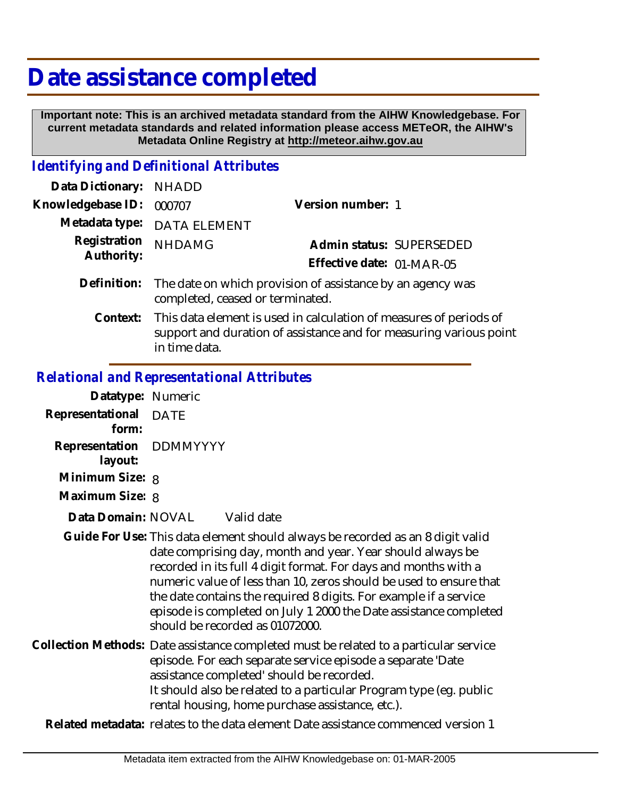# **Date assistance completed**

 **Important note: This is an archived metadata standard from the AIHW Knowledgebase. For current metadata standards and related information please access METeOR, the AIHW's Metadata Online Registry at http://meteor.aihw.gov.au**

### *Identifying and Definitional Attributes*

| Data Dictionary: NHADD     |                                                                                                                                          |                           |                          |
|----------------------------|------------------------------------------------------------------------------------------------------------------------------------------|---------------------------|--------------------------|
| Knowledgebase ID:          | 000707                                                                                                                                   | Version number: 1         |                          |
|                            | Metadata type: DATA ELEMENT                                                                                                              |                           |                          |
| Registration<br>Authority: | <b>NHDAMG</b>                                                                                                                            |                           | Admin status: SUPERSEDED |
|                            |                                                                                                                                          | Effective date: 01-MAR-05 |                          |
| Definition:                | The date on which provision of assistance by an agency was<br>completed, ceased or terminated.                                           |                           |                          |
| Context:                   | This data element is used in calculation of measures of periods of<br>support and duration of assistance and for measuring various point |                           |                          |

#### *Relational and Representational Attributes*

in time data.

| Datatype: Numeric                  |                                                                                                                                                                                                                                                                                                                                                                                                                                                                    |
|------------------------------------|--------------------------------------------------------------------------------------------------------------------------------------------------------------------------------------------------------------------------------------------------------------------------------------------------------------------------------------------------------------------------------------------------------------------------------------------------------------------|
| Representational DATE<br>form:     |                                                                                                                                                                                                                                                                                                                                                                                                                                                                    |
| Representation DDMMYYYY<br>layout: |                                                                                                                                                                                                                                                                                                                                                                                                                                                                    |
| Minimum Size: 8                    |                                                                                                                                                                                                                                                                                                                                                                                                                                                                    |
| Maximum Size: 8                    |                                                                                                                                                                                                                                                                                                                                                                                                                                                                    |
| Data Domain: NOVAL                 | Valid date                                                                                                                                                                                                                                                                                                                                                                                                                                                         |
|                                    | Guide For Use: This data element should always be recorded as an 8 digit valid<br>date comprising day, month and year. Year should always be<br>recorded in its full 4 digit format. For days and months with a<br>numeric value of less than 10, zeros should be used to ensure that<br>the date contains the required 8 digits. For example if a service<br>episode is completed on July 1 2000 the Date assistance completed<br>should be recorded as 01072000. |
|                                    | Collection Methods: Date assistance completed must be related to a particular service<br>episode. For each separate service episode a separate 'Date<br>assistance completed' should be recorded.                                                                                                                                                                                                                                                                  |

It should also be related to a particular Program type (eg. public rental housing, home purchase assistance, etc.).

**Related metadata:** relates to the data element Date assistance commenced version 1